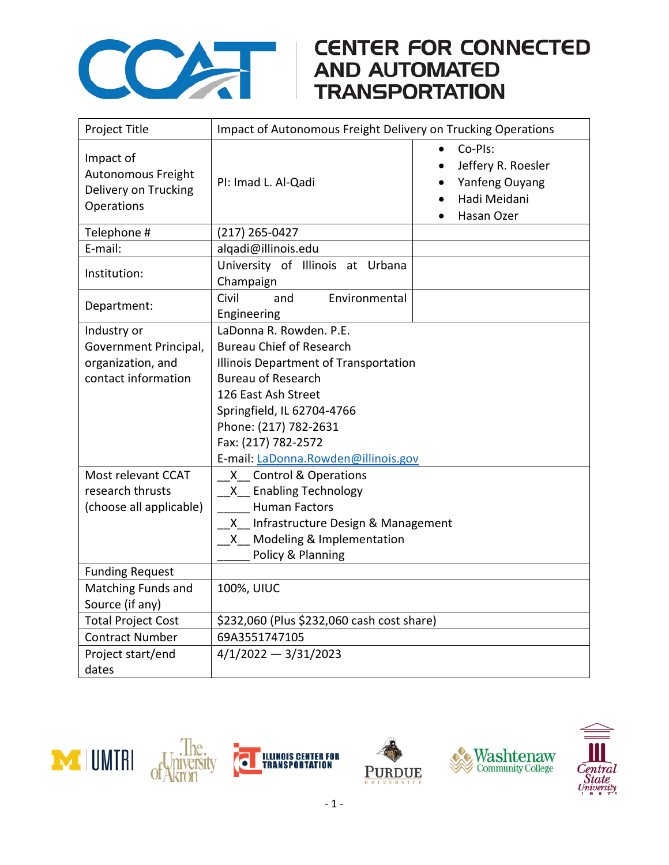

## COMPARE CONNECTED<br>AND AUTOMATED<br>TRANSPORTATION

| Project Title                                                                                                                                         | Impact of Autonomous Freight Delivery on Trucking Operations                                                                                                                                                                                                                                                                                                                                                                                        |                                                                               |
|-------------------------------------------------------------------------------------------------------------------------------------------------------|-----------------------------------------------------------------------------------------------------------------------------------------------------------------------------------------------------------------------------------------------------------------------------------------------------------------------------------------------------------------------------------------------------------------------------------------------------|-------------------------------------------------------------------------------|
| Impact of<br>Autonomous Freight<br>Delivery on Trucking<br>Operations                                                                                 | PI: Imad L. Al-Qadi                                                                                                                                                                                                                                                                                                                                                                                                                                 | Co-Pls:<br>Jeffery R. Roesler<br>Yanfeng Ouyang<br>Hadi Meidani<br>Hasan Ozer |
| Telephone #                                                                                                                                           | (217) 265-0427                                                                                                                                                                                                                                                                                                                                                                                                                                      |                                                                               |
| E-mail:                                                                                                                                               | alqadi@illinois.edu                                                                                                                                                                                                                                                                                                                                                                                                                                 |                                                                               |
| Institution:                                                                                                                                          | University of Illinois at Urbana<br>Champaign                                                                                                                                                                                                                                                                                                                                                                                                       |                                                                               |
| Department:                                                                                                                                           | Environmental<br>Civil<br>and<br>Engineering                                                                                                                                                                                                                                                                                                                                                                                                        |                                                                               |
| Industry or<br>Government Principal,<br>organization, and<br>contact information<br>Most relevant CCAT<br>research thrusts<br>(choose all applicable) | LaDonna R. Rowden. P.E.<br><b>Bureau Chief of Research</b><br>Illinois Department of Transportation<br><b>Bureau of Research</b><br>126 East Ash Street<br>Springfield, IL 62704-4766<br>Phone: (217) 782-2631<br>Fax: (217) 782-2572<br>E-mail: LaDonna.Rowden@illinois.gov<br>X Control & Operations<br>X Enabling Technology<br><b>Human Factors</b><br>X Infrastructure Design & Management<br>X Modeling & Implementation<br>Policy & Planning |                                                                               |
| <b>Funding Request</b>                                                                                                                                |                                                                                                                                                                                                                                                                                                                                                                                                                                                     |                                                                               |
| <b>Matching Funds and</b><br>Source (if any)                                                                                                          | 100%, UIUC                                                                                                                                                                                                                                                                                                                                                                                                                                          |                                                                               |
| <b>Total Project Cost</b>                                                                                                                             | \$232,060 (Plus \$232,060 cash cost share)                                                                                                                                                                                                                                                                                                                                                                                                          |                                                                               |
| <b>Contract Number</b>                                                                                                                                | 69A3551747105                                                                                                                                                                                                                                                                                                                                                                                                                                       |                                                                               |
| Project start/end<br>dates                                                                                                                            | $4/1/2022 - 3/31/2023$                                                                                                                                                                                                                                                                                                                                                                                                                              |                                                                               |







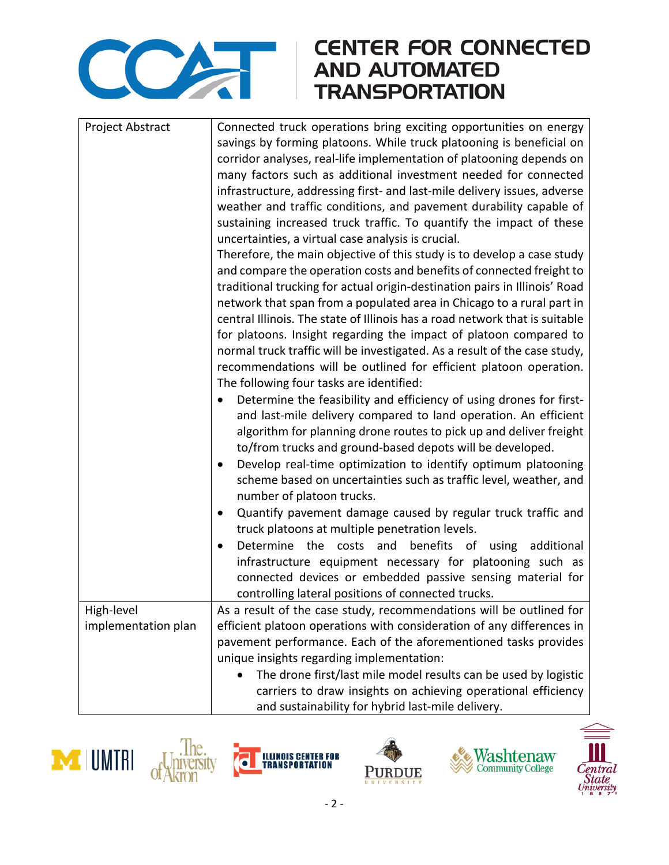

## **CENTER FOR CONNECTED**

| Project Abstract    | Connected truck operations bring exciting opportunities on energy<br>savings by forming platoons. While truck platooning is beneficial on<br>corridor analyses, real-life implementation of platooning depends on<br>many factors such as additional investment needed for connected |  |
|---------------------|--------------------------------------------------------------------------------------------------------------------------------------------------------------------------------------------------------------------------------------------------------------------------------------|--|
|                     | infrastructure, addressing first- and last-mile delivery issues, adverse<br>weather and traffic conditions, and pavement durability capable of                                                                                                                                       |  |
|                     | sustaining increased truck traffic. To quantify the impact of these<br>uncertainties, a virtual case analysis is crucial.                                                                                                                                                            |  |
|                     | Therefore, the main objective of this study is to develop a case study                                                                                                                                                                                                               |  |
|                     | and compare the operation costs and benefits of connected freight to<br>traditional trucking for actual origin-destination pairs in Illinois' Road                                                                                                                                   |  |
|                     | network that span from a populated area in Chicago to a rural part in                                                                                                                                                                                                                |  |
|                     | central Illinois. The state of Illinois has a road network that is suitable<br>for platoons. Insight regarding the impact of platoon compared to                                                                                                                                     |  |
|                     | normal truck traffic will be investigated. As a result of the case study,                                                                                                                                                                                                            |  |
|                     | recommendations will be outlined for efficient platoon operation.<br>The following four tasks are identified:                                                                                                                                                                        |  |
|                     | Determine the feasibility and efficiency of using drones for first-                                                                                                                                                                                                                  |  |
|                     | and last-mile delivery compared to land operation. An efficient                                                                                                                                                                                                                      |  |
|                     | algorithm for planning drone routes to pick up and deliver freight<br>to/from trucks and ground-based depots will be developed.                                                                                                                                                      |  |
|                     | Develop real-time optimization to identify optimum platooning                                                                                                                                                                                                                        |  |
|                     | scheme based on uncertainties such as traffic level, weather, and<br>number of platoon trucks.                                                                                                                                                                                       |  |
|                     | Quantify pavement damage caused by regular truck traffic and<br>٠                                                                                                                                                                                                                    |  |
|                     | truck platoons at multiple penetration levels.                                                                                                                                                                                                                                       |  |
|                     | Determine the costs and benefits of<br>using additional<br>$\bullet$<br>infrastructure equipment necessary for platooning such as                                                                                                                                                    |  |
|                     | connected devices or embedded passive sensing material for                                                                                                                                                                                                                           |  |
|                     | controlling lateral positions of connected trucks.                                                                                                                                                                                                                                   |  |
| High-level          | As a result of the case study, recommendations will be outlined for                                                                                                                                                                                                                  |  |
| implementation plan | efficient platoon operations with consideration of any differences in                                                                                                                                                                                                                |  |
|                     | pavement performance. Each of the aforementioned tasks provides                                                                                                                                                                                                                      |  |
|                     | unique insights regarding implementation:                                                                                                                                                                                                                                            |  |
|                     | The drone first/last mile model results can be used by logistic                                                                                                                                                                                                                      |  |
|                     | carriers to draw insights on achieving operational efficiency                                                                                                                                                                                                                        |  |
|                     | and sustainability for hybrid last-mile delivery.                                                                                                                                                                                                                                    |  |









Ò